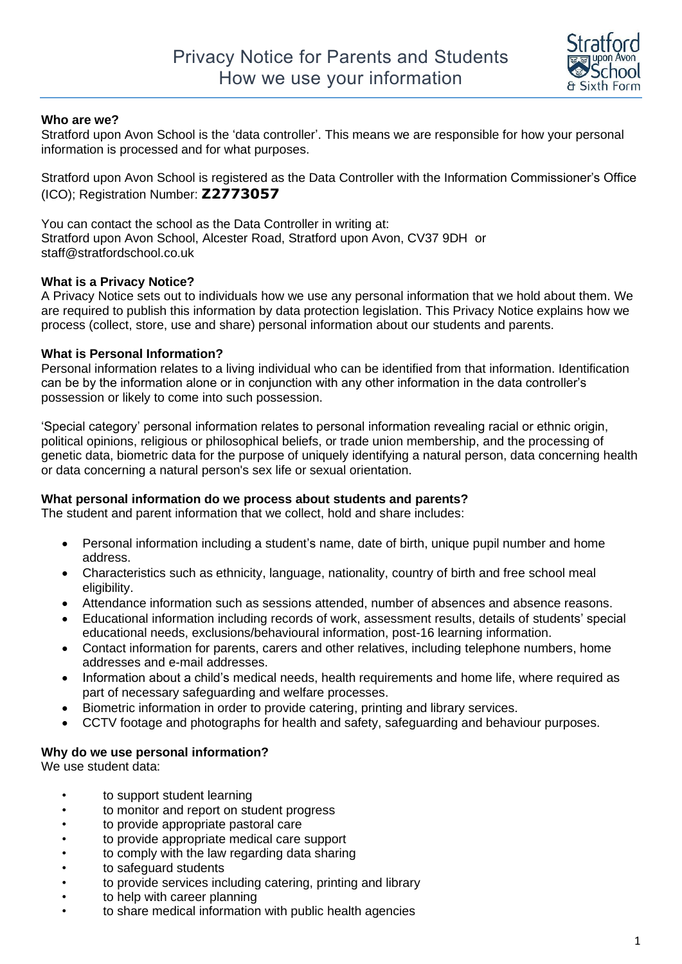

### **Who are we?**

Stratford upon Avon School is the 'data controller'. This means we are responsible for how your personal information is processed and for what purposes.

Stratford upon Avon School is registered as the Data Controller with the Information Commissioner's Office (ICO); Registration Number: **Z2773057**

You can contact the school as the Data Controller in writing at: Stratford upon Avon School, Alcester Road, Stratford upon Avon, CV37 9DH or staff@stratfordschool.co.uk

#### **What is a Privacy Notice?**

A Privacy Notice sets out to individuals how we use any personal information that we hold about them. We are required to publish this information by data protection legislation. This Privacy Notice explains how we process (collect, store, use and share) personal information about our students and parents.

#### **What is Personal Information?**

Personal information relates to a living individual who can be identified from that information. Identification can be by the information alone or in conjunction with any other information in the data controller's possession or likely to come into such possession.

'Special category' personal information relates to personal information revealing racial or ethnic origin, political opinions, religious or philosophical beliefs, or trade union membership, and the processing of genetic data, biometric data for the purpose of uniquely identifying a natural person, data concerning health or data concerning a natural person's sex life or sexual orientation.

#### **What personal information do we process about students and parents?**

The student and parent information that we collect, hold and share includes:

- Personal information including a student's name, date of birth, unique pupil number and home address.
- Characteristics such as ethnicity, language, nationality, country of birth and free school meal eligibility.
- Attendance information such as sessions attended, number of absences and absence reasons.
- Educational information including records of work, assessment results, details of students' special educational needs, exclusions/behavioural information, post-16 learning information.
- Contact information for parents, carers and other relatives, including telephone numbers, home addresses and e-mail addresses.
- Information about a child's medical needs, health requirements and home life, where required as part of necessary safeguarding and welfare processes.
- Biometric information in order to provide catering, printing and library services.
- CCTV footage and photographs for health and safety, safeguarding and behaviour purposes.

#### **Why do we use personal information?**

We use student data:

- to support student learning
- to monitor and report on student progress
- to provide appropriate pastoral care
- to provide appropriate medical care support
- to comply with the law regarding data sharing
- to safeguard students
- to provide services including catering, printing and library
- to help with career planning
- to share medical information with public health agencies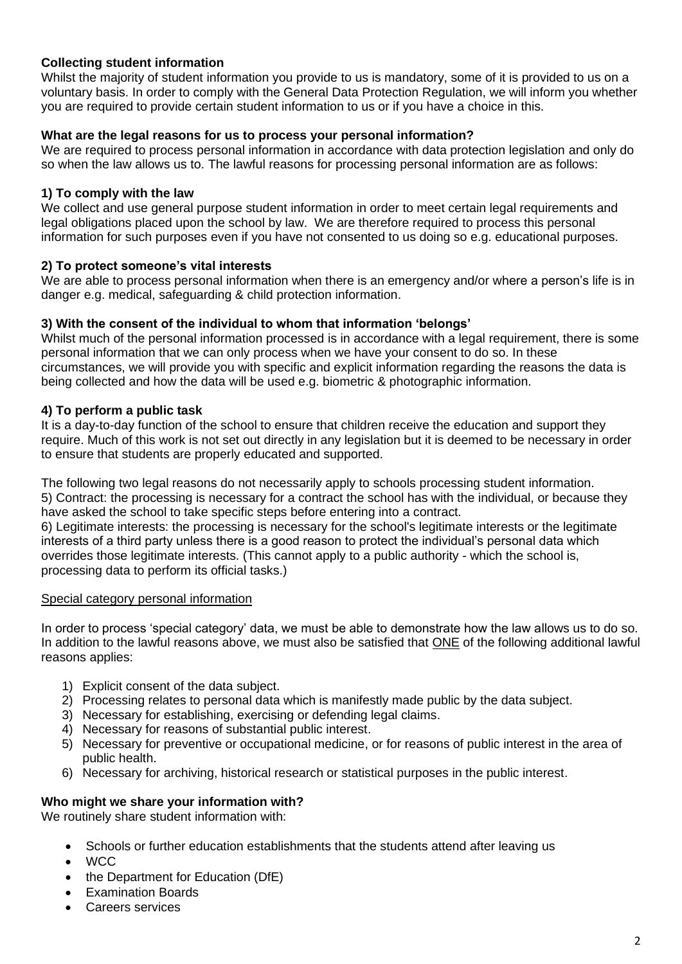### **Collecting student information**

Whilst the majority of student information you provide to us is mandatory, some of it is provided to us on a voluntary basis. In order to comply with the General Data Protection Regulation, we will inform you whether you are required to provide certain student information to us or if you have a choice in this.

### **What are the legal reasons for us to process your personal information?**

We are required to process personal information in accordance with data protection legislation and only do so when the law allows us to. The lawful reasons for processing personal information are as follows:

### **1) To comply with the law**

We collect and use general purpose student information in order to meet certain legal requirements and legal obligations placed upon the school by law. We are therefore required to process this personal information for such purposes even if you have not consented to us doing so e.g. educational purposes.

### **2) To protect someone's vital interests**

We are able to process personal information when there is an emergency and/or where a person's life is in danger e.g. medical, safeguarding & child protection information.

#### **3) With the consent of the individual to whom that information 'belongs'**

Whilst much of the personal information processed is in accordance with a legal requirement, there is some personal information that we can only process when we have your consent to do so. In these circumstances, we will provide you with specific and explicit information regarding the reasons the data is being collected and how the data will be used e.g. biometric & photographic information.

### **4) To perform a public task**

It is a day-to-day function of the school to ensure that children receive the education and support they require. Much of this work is not set out directly in any legislation but it is deemed to be necessary in order to ensure that students are properly educated and supported.

The following two legal reasons do not necessarily apply to schools processing student information. 5) Contract: the processing is necessary for a contract the school has with the individual, or because they have asked the school to take specific steps before entering into a contract.

6) Legitimate interests: the processing is necessary for the school's legitimate interests or the legitimate interests of a third party unless there is a good reason to protect the individual's personal data which overrides those legitimate interests. (This cannot apply to a public authority - which the school is, processing data to perform its official tasks.)

#### Special category personal information

In order to process 'special category' data, we must be able to demonstrate how the law allows us to do so. In addition to the lawful reasons above, we must also be satisfied that ONE of the following additional lawful reasons applies:

- 1) Explicit consent of the data subject.
- 2) Processing relates to personal data which is manifestly made public by the data subject.
- 3) Necessary for establishing, exercising or defending legal claims.
- 4) Necessary for reasons of substantial public interest.
- 5) Necessary for preventive or occupational medicine, or for reasons of public interest in the area of public health.
- 6) Necessary for archiving, historical research or statistical purposes in the public interest.

## **Who might we share your information with?**

We routinely share student information with:

- Schools or further education establishments that the students attend after leaving us
- WCC
- the Department for Education (DfE)
- Examination Boards
- Careers services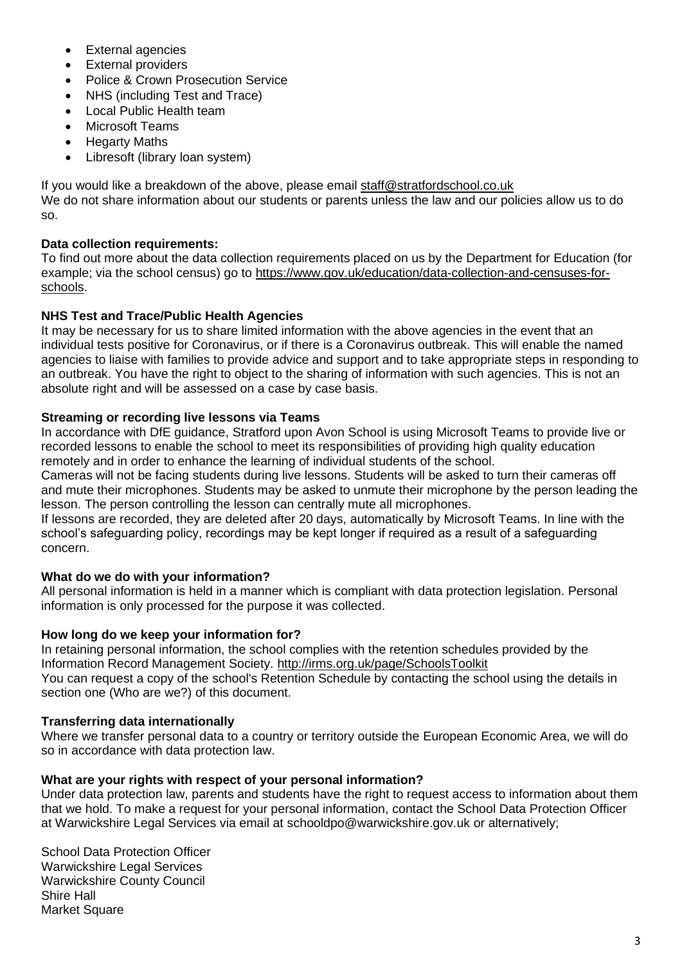- External agencies
- **External providers**
- Police & Crown Prosecution Service
- NHS (including Test and Trace)
- Local Public Health team
- Microsoft Teams
- Hegarty Maths
- Libresoft (library loan system)

If you would like a breakdown of the above, please email [staff@stratfordschool.co.uk](mailto:staff@stratfordschool.co.uk) We do not share information about our students or parents unless the law and our policies allow us to do so.

# **Data collection requirements:**

To find out more about the data collection requirements placed on us by the Department for Education (for example; via the school census) go to [https://www.gov.uk/education/data-collection-and-censuses-for](https://www.gov.uk/education/data-collection-and-censuses-for-schools)[schools.](https://www.gov.uk/education/data-collection-and-censuses-for-schools)

# **NHS Test and Trace/Public Health Agencies**

It may be necessary for us to share limited information with the above agencies in the event that an individual tests positive for Coronavirus, or if there is a Coronavirus outbreak. This will enable the named agencies to liaise with families to provide advice and support and to take appropriate steps in responding to an outbreak. You have the right to object to the sharing of information with such agencies. This is not an absolute right and will be assessed on a case by case basis.

## **Streaming or recording live lessons via Teams**

In accordance with DfE guidance, Stratford upon Avon School is using Microsoft Teams to provide live or recorded lessons to enable the school to meet its responsibilities of providing high quality education remotely and in order to enhance the learning of individual students of the school.

Cameras will not be facing students during live lessons. Students will be asked to turn their cameras off and mute their microphones. Students may be asked to unmute their microphone by the person leading the lesson. The person controlling the lesson can centrally mute all microphones.

If lessons are recorded, they are deleted after 20 days, automatically by Microsoft Teams. In line with the school's safeguarding policy, recordings may be kept longer if required as a result of a safeguarding concern.

## **What do we do with your information?**

All personal information is held in a manner which is compliant with data protection legislation. Personal information is only processed for the purpose it was collected.

## **How long do we keep your information for?**

In retaining personal information, the school complies with the retention schedules provided by the Information Record Management Society.<http://irms.org.uk/page/SchoolsToolkit> You can request a copy of the school's Retention Schedule by contacting the school using the details in section one (Who are we?) of this document.

## **Transferring data internationally**

Where we transfer personal data to a country or territory outside the European Economic Area, we will do so in accordance with data protection law.

## **What are your rights with respect of your personal information?**

Under data protection law, parents and students have the right to request access to information about them that we hold. To make a request for your personal information, contact the School Data Protection Officer at Warwickshire Legal Services via email at [schooldpo@warwickshire.gov.uk](mailto:schooldpo@warwickshire.gov.uk) or alternatively;

School Data Protection Officer Warwickshire Legal Services Warwickshire County Council Shire Hall **Market Square**